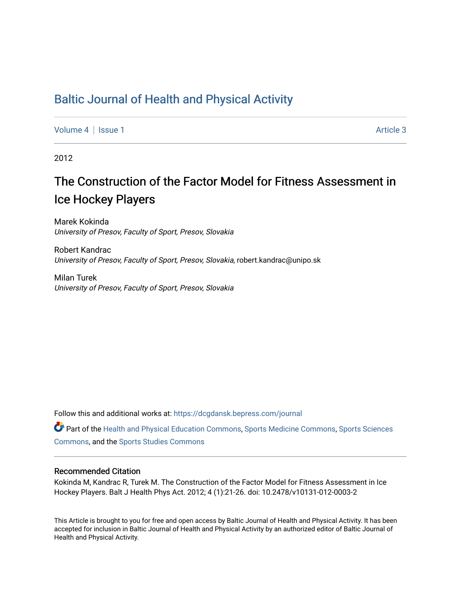# [Baltic Journal of Health and Physical Activity](https://dcgdansk.bepress.com/journal)

[Volume 4](https://dcgdansk.bepress.com/journal/vol4) | [Issue 1](https://dcgdansk.bepress.com/journal/vol4/iss1) Article 3

2012

# The Construction of the Factor Model for Fitness Assessment in Ice Hockey Players

Marek Kokinda University of Presov, Faculty of Sport, Presov, Slovakia

Robert Kandrac University of Presov, Faculty of Sport, Presov, Slovakia, robert.kandrac@unipo.sk

Milan Turek University of Presov, Faculty of Sport, Presov, Slovakia

Follow this and additional works at: [https://dcgdansk.bepress.com/journal](https://dcgdansk.bepress.com/journal?utm_source=dcgdansk.bepress.com%2Fjournal%2Fvol4%2Fiss1%2F3&utm_medium=PDF&utm_campaign=PDFCoverPages)

Part of the [Health and Physical Education Commons](http://network.bepress.com/hgg/discipline/1327?utm_source=dcgdansk.bepress.com%2Fjournal%2Fvol4%2Fiss1%2F3&utm_medium=PDF&utm_campaign=PDFCoverPages), [Sports Medicine Commons,](http://network.bepress.com/hgg/discipline/1331?utm_source=dcgdansk.bepress.com%2Fjournal%2Fvol4%2Fiss1%2F3&utm_medium=PDF&utm_campaign=PDFCoverPages) [Sports Sciences](http://network.bepress.com/hgg/discipline/759?utm_source=dcgdansk.bepress.com%2Fjournal%2Fvol4%2Fiss1%2F3&utm_medium=PDF&utm_campaign=PDFCoverPages) [Commons](http://network.bepress.com/hgg/discipline/759?utm_source=dcgdansk.bepress.com%2Fjournal%2Fvol4%2Fiss1%2F3&utm_medium=PDF&utm_campaign=PDFCoverPages), and the [Sports Studies Commons](http://network.bepress.com/hgg/discipline/1198?utm_source=dcgdansk.bepress.com%2Fjournal%2Fvol4%2Fiss1%2F3&utm_medium=PDF&utm_campaign=PDFCoverPages) 

#### Recommended Citation

Kokinda M, Kandrac R, Turek M. The Construction of the Factor Model for Fitness Assessment in Ice Hockey Players. Balt J Health Phys Act. 2012; 4 (1):21-26. doi: 10.2478/v10131-012-0003-2

This Article is brought to you for free and open access by Baltic Journal of Health and Physical Activity. It has been accepted for inclusion in Baltic Journal of Health and Physical Activity by an authorized editor of Baltic Journal of Health and Physical Activity.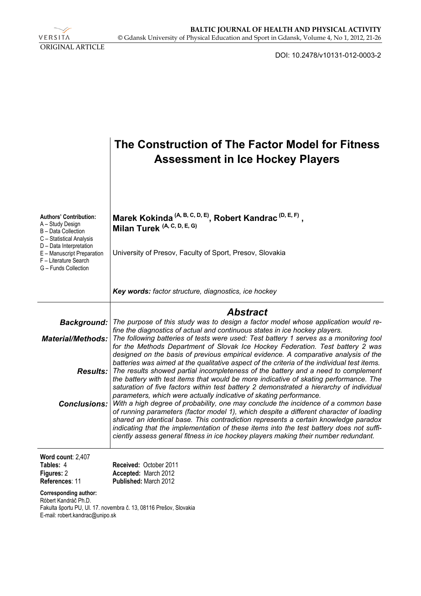

DOI: 10.2478/v10131-012-0003-2

|                                                                                                        | The Construction of The Factor Model for Fitness<br><b>Assessment in Ice Hockey Players</b>                                                                                                                                                                                                                                                                                                                                                           |
|--------------------------------------------------------------------------------------------------------|-------------------------------------------------------------------------------------------------------------------------------------------------------------------------------------------------------------------------------------------------------------------------------------------------------------------------------------------------------------------------------------------------------------------------------------------------------|
| <b>Authors' Contribution:</b><br>A - Study Design<br>B - Data Collection<br>C - Statistical Analysis   | Marek Kokinda <sup>(A, B, C, D, E)</sup> , Robert Kandrac <sup>(D, E, F)</sup> ,<br>Milan Turek (A, C, D, E, G)                                                                                                                                                                                                                                                                                                                                       |
| D - Data Interpretation<br>E - Manuscript Preparation<br>F - Literature Search<br>G - Funds Collection | University of Presov, Faculty of Sport, Presov, Slovakia                                                                                                                                                                                                                                                                                                                                                                                              |
|                                                                                                        | Key words: factor structure, diagnostics, ice hockey                                                                                                                                                                                                                                                                                                                                                                                                  |
|                                                                                                        | <b>Abstract</b>                                                                                                                                                                                                                                                                                                                                                                                                                                       |
| <b>Background:</b>                                                                                     | The purpose of this study was to design a factor model whose application would re-                                                                                                                                                                                                                                                                                                                                                                    |
| <b>Material/Methods:</b>                                                                               | fine the diagnostics of actual and continuous states in ice hockey players.<br>The following batteries of tests were used: Test battery 1 serves as a monitoring tool<br>for the Methods Department of Slovak Ice Hockey Federation. Test battery 2 was<br>designed on the basis of previous empirical evidence. A comparative analysis of the                                                                                                        |
|                                                                                                        | batteries was aimed at the qualitative aspect of the criteria of the individual test items.<br><b>Results:</b> The results showed partial incompleteness of the battery and a need to complement                                                                                                                                                                                                                                                      |
|                                                                                                        | the battery with test items that would be more indicative of skating performance. The<br>saturation of five factors within test battery 2 demonstrated a hierarchy of individual<br>parameters, which were actually indicative of skating performance.                                                                                                                                                                                                |
| <b>Conclusions:</b>                                                                                    | With a high degree of probability, one may conclude the incidence of a common base<br>of running parameters (factor model 1), which despite a different character of loading<br>shared an identical base. This contradiction represents a certain knowledge paradox<br>indicating that the implementation of these items into the test battery does not suffi-<br>ciently assess general fitness in ice hockey players making their number redundant. |
| Word count: 2,407<br>Tables: 4<br>Figures: 2                                                           | Received: October 2011<br>Accepted: March 2012                                                                                                                                                                                                                                                                                                                                                                                                        |
| References: 11                                                                                         | Published: March 2012                                                                                                                                                                                                                                                                                                                                                                                                                                 |
| <b>Corresponding author:</b><br>Róbert Kandráč Ph.D.                                                   | Fakulta športu PU, Ul. 17. novembra č. 13, 08116 Prešov, Slovakia                                                                                                                                                                                                                                                                                                                                                                                     |

E-mail: robert.kandrac@unipo.sk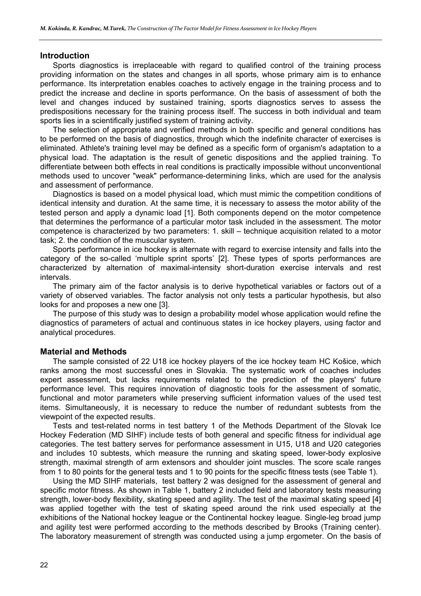#### **Introduction**

Sports diagnostics is irreplaceable with regard to qualified control of the training process providing information on the states and changes in all sports, whose primary aim is to enhance performance. Its interpretation enables coaches to actively engage in the training process and to predict the increase and decline in sports performance. On the basis of assessment of both the level and changes induced by sustained training, sports diagnostics serves to assess the predispositions necessary for the training process itself. The success in both individual and team sports lies in a scientifically justified system of training activity.

The selection of appropriate and verified methods in both specific and general conditions has to be performed on the basis of diagnostics, through which the indefinite character of exercises is eliminated. Athlete's training level may be defined as a specific form of organism's adaptation to a physical load. The adaptation is the result of genetic dispositions and the applied training. To differentiate between both effects in real conditions is practically impossible without unconventional methods used to uncover "weak" performance-determining links, which are used for the analysis and assessment of performance.

Diagnostics is based on a model physical load, which must mimic the competition conditions of identical intensity and duration. At the same time, it is necessary to assess the motor ability of the tested person and apply a dynamic load [1]. Both components depend on the motor competence that determines the performance of a particular motor task included in the assessment. The motor competence is characterized by two parameters: 1. skill – technique acquisition related to a motor task; 2. the condition of the muscular system.

Sports performance in ice hockey is alternate with regard to exercise intensity and falls into the category of the so-called 'multiple sprint sports' [2]. These types of sports performances are characterized by alternation of maximal-intensity short-duration exercise intervals and rest intervals.

The primary aim of the factor analysis is to derive hypothetical variables or factors out of a variety of observed variables. The factor analysis not only tests a particular hypothesis, but also looks for and proposes a new one [3].

The purpose of this study was to design a probability model whose application would refine the diagnostics of parameters of actual and continuous states in ice hockey players, using factor and analytical procedures.

#### **Material and Methods**

The sample consisted of 22 U18 ice hockey players of the ice hockey team HC Košice, which ranks among the most successful ones in Slovakia. The systematic work of coaches includes expert assessment, but lacks requirements related to the prediction of the players' future performance level. This requires innovation of diagnostic tools for the assessment of somatic, functional and motor parameters while preserving sufficient information values of the used test items. Simultaneously, it is necessary to reduce the number of redundant subtests from the viewpoint of the expected results.

Tests and test-related norms in test battery 1 of the Methods Department of the Slovak Ice Hockey Federation (MD SIHF) include tests of both general and specific fitness for individual age categories. The test battery serves for performance assessment in U15, U18 and U20 categories and includes 10 subtests, which measure the running and skating speed, lower-body explosive strength, maximal strength of arm extensors and shoulder joint muscles. The score scale ranges from 1 to 80 points for the general tests and 1 to 90 points for the specific fitness tests (see Table 1).

Using the MD SIHF materials, test battery 2 was designed for the assessment of general and specific motor fitness. As shown in Table 1, battery 2 included field and laboratory tests measuring strength, lower-body flexibility, skating speed and agility. The test of the maximal skating speed [4] was applied together with the test of skating speed around the rink used especially at the exhibitions of the National hockey league or the Continental hockey league. Single-leg broad jump and agility test were performed according to the methods described by Brooks (Training center). The laboratory measurement of strength was conducted using a jump ergometer. On the basis of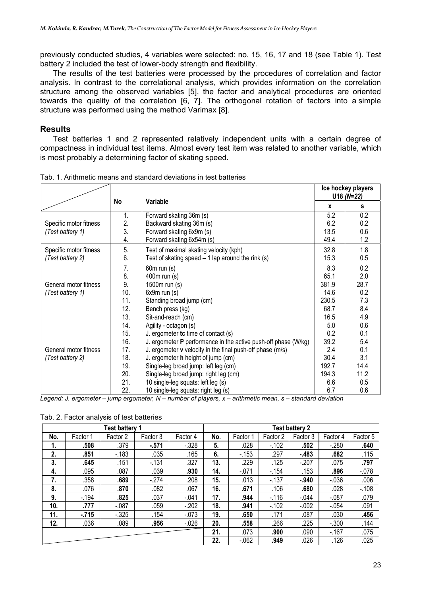previously conducted studies, 4 variables were selected: no. 15, 16, 17 and 18 (see Table 1). Test battery 2 included the test of lower-body strength and flexibility.

The results of the test batteries were processed by the procedures of correlation and factor analysis. In contrast to the correlational analysis, which provides information on the correlation structure among the observed variables [5], the factor and analytical procedures are oriented towards the quality of the correlation [6, 7]. The orthogonal rotation of factors into a simple structure was performed using the method Varimax [8].

### **Results**

Test batteries 1 and 2 represented relatively independent units with a certain degree of compactness in individual test items. Almost every test item was related to another variable, which is most probably a determining factor of skating speed.

|                        |     |                                                                  |       | Ice hockey players<br>$U18(N=22)$ |
|------------------------|-----|------------------------------------------------------------------|-------|-----------------------------------|
|                        | No  | Variable                                                         | X     | s                                 |
|                        | 1.  | Forward skating 36m (s)                                          | 5.2   | 0.2                               |
| Specific motor fitness | 2.  | Backward skating 36m (s)                                         | 6.2   | 0.2                               |
| (Test battery 1)       | 3.  | Forward skating 6x9m (s)                                         | 13.5  | 0.6                               |
|                        | 4.  | Forward skating 6x54m (s)                                        | 49.4  | 1.2                               |
| Specific motor fitness | 5.  | Test of maximal skating velocity (kph)                           | 32.8  | 1.8                               |
| (Test battery 2)       | 6.  | Test of skating speed $-1$ lap around the rink (s)               | 15.3  | 0.5                               |
|                        | 7.  | $60m$ run $(s)$                                                  | 8.3   | 0.2                               |
|                        | 8.  | 400m run (s)                                                     | 65.1  | 2.0                               |
| General motor fitness  | 9.  | 1500m run (s)                                                    | 381.9 | 28.7                              |
| (Test battery 1)       | 10. | $6x9m$ run $(s)$                                                 | 14.6  | 0.2                               |
|                        | 11. | Standing broad jump (cm)                                         | 230.5 | 7.3                               |
|                        | 12. | Bench press (kg)                                                 | 68.7  | 8.4                               |
|                        | 13. | Sit-and-reach (cm)                                               | 16.5  | 4.9                               |
|                        | 14. | Agility - octagon (s)                                            | 5.0   | 0.6                               |
|                        | 15. | J. ergometer $tc$ time of contact $(s)$                          | 0.2   | 0.1                               |
|                        | 16. | J. ergometer $P$ performance in the active push-off phase (W/kg) | 39.2  | 5.4                               |
| General motor fitness  | 17. | J. ergometer v velocity in the final push-off phase (m/s)        | 2.4   | 0.1                               |
| (Test battery 2)       | 18. | J. ergometer h height of jump (cm)                               | 30.4  | 3.1                               |
|                        | 19. | Single-leg broad jump: left leg (cm)                             | 192.7 | 14.4                              |
|                        | 20. | Single-leg broad jump: right leg (cm)                            | 194.3 | 11.2                              |
|                        | 21. | 10 single-leg squats: left leg (s)                               | 6.6   | 0.5                               |
|                        | 22. | 10 single-leg squats: right leg (s)                              | 6.7   | 0.6                               |

| Tab. 1. Arithmetic means and standard deviations in test batteries |  |  |  |  |  |  |  |
|--------------------------------------------------------------------|--|--|--|--|--|--|--|
|--------------------------------------------------------------------|--|--|--|--|--|--|--|

*Legend: J. ergometer – jump ergometer, N – number of players, x – arithmetic mean, s – standard deviation* 

|  |  |  |  | Tab. 2. Factor analysis of test batteries |
|--|--|--|--|-------------------------------------------|
|--|--|--|--|-------------------------------------------|

| <b>Test battery 1</b> |          |          |          |          |        |          | <b>Test battery 2</b> |          |          |          |
|-----------------------|----------|----------|----------|----------|--------|----------|-----------------------|----------|----------|----------|
| No.                   | Factor 1 | Factor 2 | Factor 3 | Factor 4 | No.    | Factor 1 | Factor 2              | Factor 3 | Factor 4 | Factor 5 |
| 1.                    | .508     | .379     | $-571$   | $-0.328$ | 5.     | .028     | $-102$                | .502     | $-280$   | .640     |
| 2.                    | .851     | $-183$   | .035     | .165     | 6.     | $-153$   | .297                  | $-.483$  | .682     | .115     |
| 3.                    | .645     | .151     | $-131$   | .327     | 13.    | .229     | .125                  | $-.207$  | .075     | .797     |
| 4.                    | .095     | .087     | .039     | .930     | 14.    | $-.071$  | $-154$                | .153     | .896     | $-078$   |
| 7.                    | .358     | .689     | $-.274$  | .208     | 15.    | .013     | $-137$                | $-940$   | $-0.36$  | .006     |
| 8.                    | .076     | .870     | .082     | .067     | 16.    | .671     | .106                  | .680     | .028     | $-.108$  |
| 9.                    | $-194$   | .825     | .037     | $-.041$  | 17.    | .944     | $-116$                | $-044$   | $-.087$  | .079     |
| 10.                   | .777     | $-.087$  | .059     | $-202$   | 18.    | .941     | $-102$                | $-.002$  | $-0.54$  | .091     |
| 11.                   | $-715$   | $-325$   | .154     | $-0.073$ | 19.    | .650     | .171                  | .087     | .030     | .456     |
| 12.                   | .036     | .089     | .956     | $-0.026$ | 20.    | .558     | .266                  | .225     | $-.300$  | .144     |
|                       |          |          |          | 21.      | .073   | .900     | .090                  | $-167$   | .075     |          |
|                       |          |          |          | 22.      | $-062$ | .949     | .026                  | .126     | .025     |          |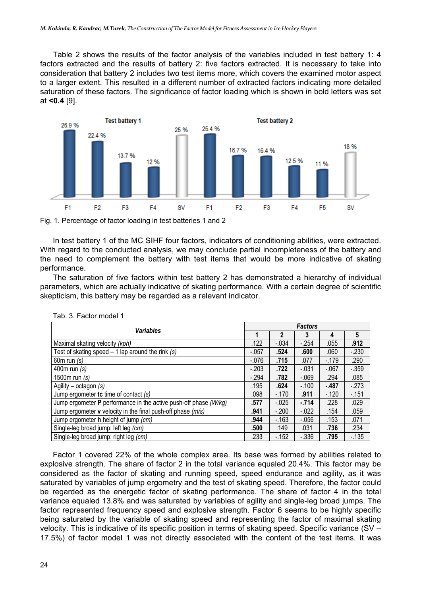Table 2 shows the results of the factor analysis of the variables included in test battery 1: 4 factors extracted and the results of battery 2: five factors extracted. It is necessary to take into consideration that battery 2 includes two test items more, which covers the examined motor aspect to a larger extent. This resulted in a different number of extracted factors indicating more detailed saturation of these factors. The significance of factor loading which is shown in bold letters was set at **<0.4** [9].



Fig. 1. Percentage of factor loading in test batteries 1 and 2

In test battery 1 of the MC SIHF four factors, indicators of conditioning abilities, were extracted. With regard to the conducted analysis, we may conclude partial incompleteness of the battery and the need to complement the battery with test items that would be more indicative of skating performance.

The saturation of five factors within test battery 2 has demonstrated a hierarchy of individual parameters, which are actually indicative of skating performance. With a certain degree of scientific skepticism, this battery may be regarded as a relevant indicator.

| <b>Variables</b>                                                          |          | <b>Factors</b> |          |         |        |  |  |  |
|---------------------------------------------------------------------------|----------|----------------|----------|---------|--------|--|--|--|
|                                                                           |          | 2              | 3        | 4       | 5      |  |  |  |
| Maximal skating velocity (kph)                                            | .122     | $-.034$        | $-254$   | .055    | .912   |  |  |  |
| Test of skating speed $-1$ lap around the rink (s)                        | $-057$   | .524           | .600     | .060    | $-230$ |  |  |  |
| 60 $m$ run $(s)$                                                          | $-0.076$ | .715           | .077     | $-.179$ | .290   |  |  |  |
| 400 $m$ run $(s)$                                                         | $-.203$  | .722           | $-.031$  | $-.067$ | $-359$ |  |  |  |
| 1500m run (s)                                                             | $-294$   | .782           | $-069$   | .294    | .085   |  |  |  |
| Agility – octagon $(s)$                                                   | .195     | .624           | $-.100$  | $-487$  | $-273$ |  |  |  |
| Jump ergometer to time of contact $(s)$                                   | .098     | $-.170$        | .911     | $-.120$ | $-151$ |  |  |  |
| Jump ergometer <b>P</b> performance in the active push-off phase $(W/kg)$ | .577     | $-0.025$       | $-714$   | .228    | .029   |  |  |  |
| Jump ergometer <b>v</b> velocity in the final push-off phase $(m/s)$      | .941     | $-.200$        | $-022$   | .154    | .059   |  |  |  |
| Jump ergometer h height of jump (cm)                                      | .944     | $-163$         | $-0.056$ | .153    | .071   |  |  |  |
| Single-leg broad jump: left leg (cm)                                      | .500     | .149           | .031     | .736    | .234   |  |  |  |
| Single-leg broad jump: right leg (cm)                                     | .233     | $-152$         | $-336$   | .795    | $-135$ |  |  |  |

Tab. 3. Factor model 1

Factor 1 covered 22% of the whole complex area. Its base was formed by abilities related to explosive strength. The share of factor 2 in the total variance equaled 20.4%. This factor may be considered as the factor of skating and running speed, speed endurance and agility, as it was saturated by variables of jump ergometry and the test of skating speed. Therefore, the factor could be regarded as the energetic factor of skating performance. The share of factor 4 in the total variance equaled 13.8% and was saturated by variables of agility and single-leg broad jumps. The factor represented frequency speed and explosive strength. Factor 6 seems to be highly specific being saturated by the variable of skating speed and representing the factor of maximal skating velocity. This is indicative of its specific position in terms of skating speed. Specific variance (SV – 17.5%) of factor model 1 was not directly associated with the content of the test items. It was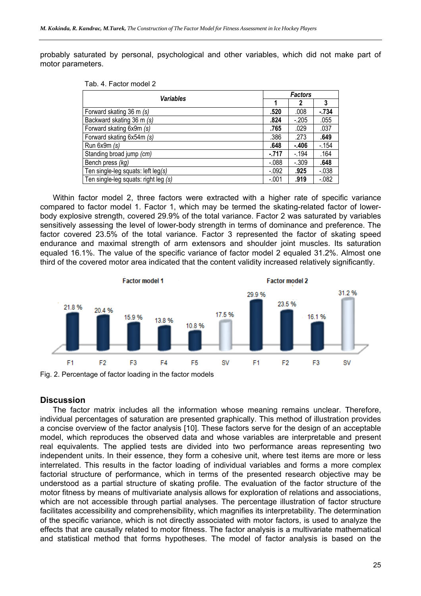probably saturated by personal, psychological and other variables, which did not make part of motor parameters.

| Tab. 4. Factor model 2 |  |
|------------------------|--|
|------------------------|--|

| Variables                            |          | <b>Factors</b> |          |  |  |  |
|--------------------------------------|----------|----------------|----------|--|--|--|
|                                      |          |                | 3        |  |  |  |
| Forward skating 36 m (s)             | .520     | .008           | $-.734$  |  |  |  |
| Backward skating 36 m (s)            | .824     | $-.205$        | .055     |  |  |  |
| Forward skating 6x9m (s)             | .765     | .029           | .037     |  |  |  |
| Forward skating 6x54m (s)            | .386     | .273           | .649     |  |  |  |
| Run $6x9m(s)$                        | .648     | $-.406$        | $-154$   |  |  |  |
| Standing broad jump (cm)             | $-.717$  | $-194$         | .164     |  |  |  |
| Bench press (kg)                     | $-088$   | $-.309$        | .648     |  |  |  |
| Ten single-leg squats: left $leg(s)$ | $-0.092$ | .925           | $-0.038$ |  |  |  |
| Ten single-leg squats: right leg (s) | $-.001$  | .919           | $-082$   |  |  |  |

Within factor model 2, three factors were extracted with a higher rate of specific variance compared to factor model 1. Factor 1, which may be termed the skating-related factor of lowerbody explosive strength, covered 29.9% of the total variance. Factor 2 was saturated by variables sensitively assessing the level of lower-body strength in terms of dominance and preference. The factor covered 23.5% of the total variance. Factor 3 represented the factor of skating speed endurance and maximal strength of arm extensors and shoulder joint muscles. Its saturation equaled 16.1%. The value of the specific variance of factor model 2 equaled 31.2%. Almost one third of the covered motor area indicated that the content validity increased relatively significantly.



# **Discussion**

The factor matrix includes all the information whose meaning remains unclear. Therefore, individual percentages of saturation are presented graphically. This method of illustration provides a concise overview of the factor analysis [10]. These factors serve for the design of an acceptable model, which reproduces the observed data and whose variables are interpretable and present real equivalents. The applied tests are divided into two performance areas representing two independent units. In their essence, they form a cohesive unit, where test items are more or less interrelated. This results in the factor loading of individual variables and forms a more complex factorial structure of performance, which in terms of the presented research objective may be understood as a partial structure of skating profile. The evaluation of the factor structure of the motor fitness by means of multivariate analysis allows for exploration of relations and associations, which are not accessible through partial analyses. The percentage illustration of factor structure facilitates accessibility and comprehensibility, which magnifies its interpretability. The determination of the specific variance, which is not directly associated with motor factors, is used to analyze the effects that are causally related to motor fitness. The factor analysis is a multivariate mathematical and statistical method that forms hypotheses. The model of factor analysis is based on the